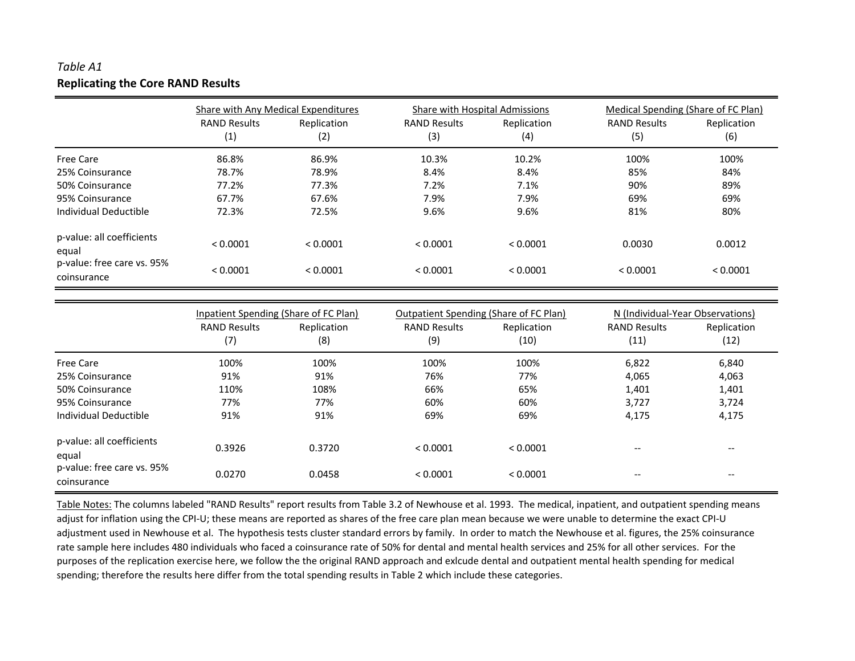## *Table A1***Replicating the Core RAND Results**

|                                           | Share with Any Medical Expenditures |                    | Share with Hospital Admissions |                    |                            | Medical Spending (Share of FC Plan) |  |  |
|-------------------------------------------|-------------------------------------|--------------------|--------------------------------|--------------------|----------------------------|-------------------------------------|--|--|
|                                           | <b>RAND Results</b><br>(1)          | Replication<br>(2) | <b>RAND Results</b><br>(3)     | Replication<br>(4) | <b>RAND Results</b><br>(5) | Replication<br>(6)                  |  |  |
| <b>Free Care</b>                          | 86.8%                               | 86.9%              | 10.3%                          | 10.2%              | 100%                       | 100%                                |  |  |
| 25% Coinsurance                           | 78.7%                               | 78.9%              | 8.4%                           | 8.4%               | 85%                        | 84%                                 |  |  |
| 50% Coinsurance                           | 77.2%                               | 77.3%              | 7.2%                           | 7.1%               | 90%                        | 89%                                 |  |  |
| 95% Coinsurance                           | 67.7%                               | 67.6%              | 7.9%                           | 7.9%               | 69%                        | 69%                                 |  |  |
| Individual Deductible                     | 72.3%                               | 72.5%              | 9.6%                           | 9.6%               | 81%                        | 80%                                 |  |  |
| p-value: all coefficients<br>equal        | < 0.0001                            | < 0.0001           | < 0.0001                       | < 0.0001           | 0.0030                     | 0.0012                              |  |  |
| p-value: free care vs. 95%<br>coinsurance | < 0.0001                            | < 0.0001           | < 0.0001                       | < 0.0001           | < 0.0001                   | < 0.0001                            |  |  |

|                                           | Inpatient Spending (Share of FC Plan) |                    | Outpatient Spending (Share of FC Plan) |                     | N (Individual-Year Observations)      |                                       |  |
|-------------------------------------------|---------------------------------------|--------------------|----------------------------------------|---------------------|---------------------------------------|---------------------------------------|--|
|                                           | <b>RAND Results</b><br>(7)            | Replication<br>(8) | <b>RAND Results</b><br>(9)             | Replication<br>(10) | <b>RAND Results</b><br>(11)           | Replication<br>(12)                   |  |
| <b>Free Care</b>                          | 100%                                  | 100%               | 100%                                   | 100%                | 6,822                                 | 6,840                                 |  |
| 25% Coinsurance                           | 91%                                   | 91%                | 76%                                    | 77%                 | 4,065                                 | 4,063                                 |  |
| 50% Coinsurance                           | 110%                                  | 108%               | 66%                                    | 65%                 | 1,401                                 | 1,401                                 |  |
| 95% Coinsurance                           | 77%                                   | 77%                | 60%                                    | 60%                 | 3,727                                 | 3,724                                 |  |
| Individual Deductible                     | 91%                                   | 91%                | 69%                                    | 69%                 | 4,175                                 | 4,175                                 |  |
| p-value: all coefficients<br>equal        | 0.3926                                | 0.3720             | < 0.0001                               | < 0.0001            | $- -$                                 | $\hspace{0.05cm} \ldots$              |  |
| p-value: free care vs. 95%<br>coinsurance | 0.0270                                | 0.0458             | < 0.0001                               | < 0.0001            | $\hspace{0.05cm}$ – $\hspace{0.05cm}$ | $\hspace{0.05cm}$ – $\hspace{0.05cm}$ |  |

Table Notes: The columns labeled "RAND Results" report results from Table 3.2 of Newhouse et al. 1993. The medical, inpatient, and outpatient spending means adjust for inflation using the CPI-U; these means are reported as shares of the free care plan mean because we were unable to determine the exact CPI-U adjustment used in Newhouse et al. The hypothesis tests cluster standard errors by family. In order to match the Newhouse et al. figures, the 25% coinsurance rate sample here includes 480 individuals who faced <sup>a</sup> coinsurance rate of 50% for dental and mental health services and 25% for all other services. For the purposes of the replication exercise here, we follow the the original RAND approach and exlcude dental and outpatient mental health spending for medical spending; therefore the results here differ from the total spending results in Table 2 which include these categories.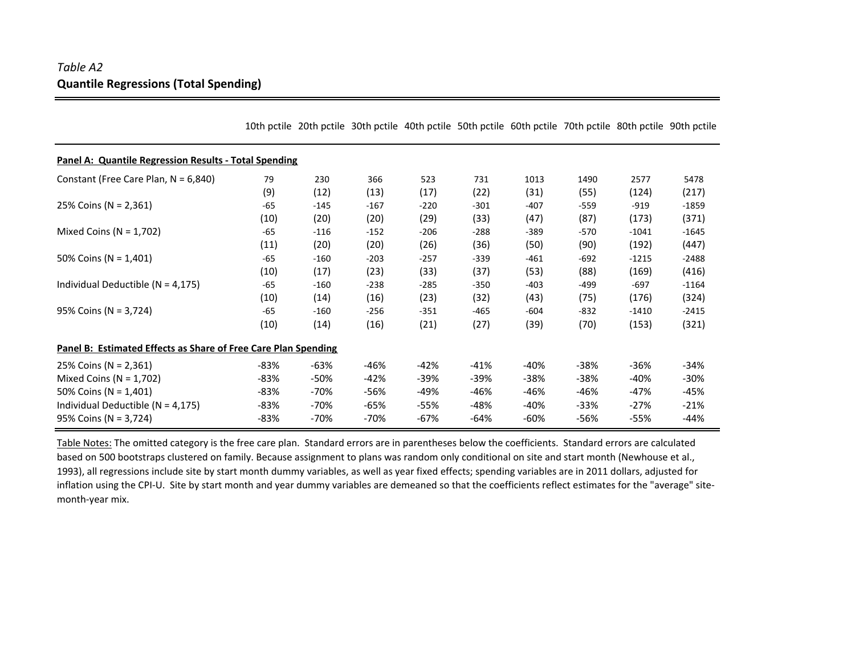## *Table A2* **Quantile Regressions (Total Spending)**

|                                                                       |        |        | 10th pctile 20th pctile 30th pctile 40th pctile 50th pctile 60th pctile 70th pctile 80th pctile 90th pctile |        |        |        |        |         |         |
|-----------------------------------------------------------------------|--------|--------|-------------------------------------------------------------------------------------------------------------|--------|--------|--------|--------|---------|---------|
| <b>Panel A: Quantile Regression Results - Total Spending</b>          |        |        |                                                                                                             |        |        |        |        |         |         |
| Constant (Free Care Plan, $N = 6,840$ )                               | 79     | 230    | 366                                                                                                         | 523    | 731    | 1013   | 1490   | 2577    | 5478    |
|                                                                       | (9)    | (12)   | (13)                                                                                                        | (17)   | (22)   | (31)   | (55)   | (124)   | (217)   |
| 25% Coins (N = 2,361)                                                 | $-65$  | $-145$ | $-167$                                                                                                      | $-220$ | $-301$ | $-407$ | $-559$ | $-919$  | $-1859$ |
|                                                                       | (10)   | (20)   | (20)                                                                                                        | (29)   | (33)   | (47)   | (87)   | (173)   | (371)   |
| Mixed Coins ( $N = 1,702$ )                                           | $-65$  | $-116$ | $-152$                                                                                                      | $-206$ | $-288$ | $-389$ | $-570$ | $-1041$ | $-1645$ |
|                                                                       | (11)   | (20)   | (20)                                                                                                        | (26)   | (36)   | (50)   | (90)   | (192)   | (447)   |
| 50% Coins (N = $1,401$ )                                              | $-65$  | $-160$ | $-203$                                                                                                      | $-257$ | $-339$ | $-461$ | $-692$ | $-1215$ | $-2488$ |
|                                                                       | (10)   | (17)   | (23)                                                                                                        | (33)   | (37)   | (53)   | (88)   | (169)   | (416)   |
| Individual Deductible ( $N = 4,175$ )                                 | $-65$  | $-160$ | $-238$                                                                                                      | $-285$ | $-350$ | $-403$ | $-499$ | $-697$  | $-1164$ |
|                                                                       | (10)   | (14)   | (16)                                                                                                        | (23)   | (32)   | (43)   | (75)   | (176)   | (324)   |
| $95\%$ Coins (N = 3,724)                                              | $-65$  | $-160$ | $-256$                                                                                                      | $-351$ | $-465$ | $-604$ | $-832$ | $-1410$ | $-2415$ |
|                                                                       | (10)   | (14)   | (16)                                                                                                        | (21)   | (27)   | (39)   | (70)   | (153)   | (321)   |
| <b>Panel B: Estimated Effects as Share of Free Care Plan Spending</b> |        |        |                                                                                                             |        |        |        |        |         |         |
| 25% Coins (N = 2,361)                                                 | -83%   | -63%   | -46%                                                                                                        | $-42%$ | $-41%$ | $-40%$ | $-38%$ | $-36%$  | $-34%$  |
| Mixed Coins ( $N = 1,702$ )                                           | -83%   | $-50%$ | $-42%$                                                                                                      | $-39%$ | -39%   | $-38%$ | $-38%$ | $-40%$  | $-30%$  |
| 50% Coins ( $N = 1,401$ )                                             | $-83%$ | -70%   | -56%                                                                                                        | -49%   | -46%   | -46%   | -46%   | -47%    | -45%    |
| Individual Deductible ( $N = 4,175$ )                                 | $-83%$ | -70%   | -65%                                                                                                        | -55%   | -48%   | $-40%$ | $-33%$ | $-27%$  | $-21%$  |
| 95% Coins (N = 3,724)                                                 | -83%   | -70%   | -70%                                                                                                        | -67%   | -64%   | -60%   | -56%   | -55%    | $-44%$  |

Table Notes: The omitted category is the free care plan. Standard errors are in parentheses below the coefficients. Standard errors are calculated based on 500 bootstraps clustered on family. Because assignment to plans was random only conditional on site and start month (Newhouse et al., 1993), all regressions include site by start month dummy variables, as well as year fixed effects; spending variables are in 2011 dollars, adjusted for inflation using the CPI‐U. Site by start month and year dummy variables are demeaned so that the coefficients reflect estimates for the "average" site‐ month‐year mix.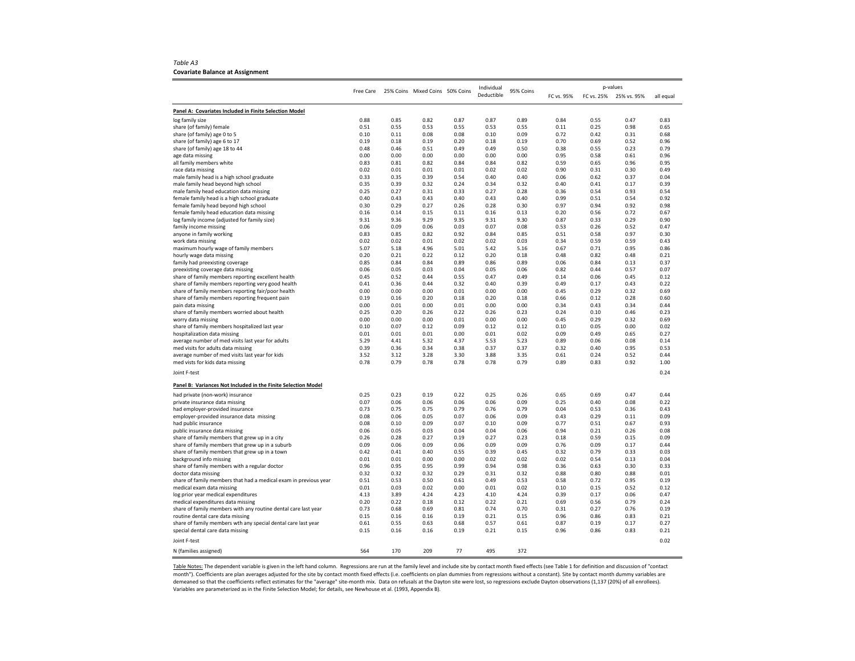*Table A3* **Covariate Balance at Assignment**

|                                                                                               |              |              |                                 |              | Individual   |              |              |              | p-values     |              |
|-----------------------------------------------------------------------------------------------|--------------|--------------|---------------------------------|--------------|--------------|--------------|--------------|--------------|--------------|--------------|
|                                                                                               | Free Care    |              | 25% Coins Mixed Coins 50% Coins |              | Deductible   | 95% Coins    | FC vs. 95%   | FC vs. 25%   | 25% vs. 95%  | all equal    |
|                                                                                               |              |              |                                 |              |              |              |              |              |              |              |
| Panel A: Covariates Included in Finite Selection Model                                        |              |              |                                 |              |              |              |              |              |              |              |
| log family size                                                                               | 0.88         | 0.85         | 0.82                            | 0.87         | 0.87         | 0.89         | 0.84         | 0.55         | 0.47         | 0.83         |
| share (of family) female                                                                      | 0.51         | 0.55         | 0.53                            | 0.55         | 0.53         | 0.55         | 0.11         | 0.25         | 0.98         | 0.65         |
| share (of family) age 0 to 5<br>share (of family) age 6 to 17                                 | 0.10<br>0.19 | 0.11<br>0.18 | 0.08<br>0.19                    | 0.08<br>0.20 | 0.10<br>0.18 | 0.09<br>0.19 | 0.72<br>0.70 | 0.42<br>0.69 | 0.31<br>0.52 | 0.68<br>0.96 |
| share (of family) age 18 to 44                                                                | 0.48         | 0.46         | 0.51                            | 0.49         | 0.49         | 0.50         | 0.38         | 0.55         | 0.23         | 0.79         |
| age data missing                                                                              | 0.00         | 0.00         | 0.00                            | 0.00         | 0.00         | 0.00         | 0.95         | 0.58         | 0.61         | 0.96         |
| all family members white                                                                      | 0.83         | 0.81         | 0.82                            | 0.84         | 0.84         | 0.82         | 0.59         | 0.65         | 0.96         | 0.95         |
| race data missing                                                                             | 0.02         | 0.01         | 0.01                            | 0.01         | 0.02         | 0.02         | 0.90         | 0.31         | 0.30         | 0.49         |
| male family head is a high school graduate                                                    | 0.33         | 0.35         | 0.39                            | 0.54         | 0.40         | 0.40         | 0.06         | 0.62         | 0.37         | 0.04         |
| male family head beyond high school                                                           | 0.35         | 0.39         | 0.32                            | 0.24         | 0.34         | 0.32         | 0.40         | 0.41         | 0.17         | 0.39         |
| male family head education data missing                                                       | 0.25         | 0.27         | 0.31                            | 0.33         | 0.27         | 0.28         | 0.36         | 0.54         | 0.93         | 0.54         |
| female family head is a high school graduate                                                  | 0.40         | 0.43         | 0.43                            | 0.40         | 0.43         | 0.40         | 0.99         | 0.51         | 0.54         | 0.92         |
| female family head beyond high school                                                         | 0.30         | 0.29         | 0.27                            | 0.26         | 0.28         | 0.30         | 0.97         | 0.94         | 0.92         | 0.98         |
| female family head education data missing                                                     | 0.16         | 0.14         | 0.15                            | 0.11         | 0.16         | 0.13         | 0.20         | 0.56         | 0.72         | 0.67         |
| log family income (adjusted for family size)                                                  | 9.31         | 9.36         | 9.29                            | 9.35         | 9.31         | 9.30         | 0.87         | 0.33         | 0.29         | 0.90         |
| family income missing                                                                         | 0.06         | 0.09         | 0.06                            | 0.03         | 0.07         | 0.08         | 0.53         | 0.26         | 0.52         | 0.47         |
| anyone in family working                                                                      | 0.83         | 0.85         | 0.82                            | 0.92         | 0.84         | 0.85         | 0.51         | 0.58         | 0.97         | 0.30         |
| work data missing                                                                             | 0.02         | 0.02         | 0.01                            | 0.02         | 0.02         | 0.03         | 0.34         | 0.59         | 0.59         | 0.43         |
| maximum hourly wage of family members                                                         | 5.07         | 5.18         | 4.96                            | 5.01         | 5.42         | 5.16         | 0.67         | 0.71         | 0.95         | 0.86         |
| hourly wage data missing                                                                      | 0.20         | 0.21         | 0.22                            | 0.12         | 0.20         | 0.18         | 0.48         | 0.82         | 0.48         | 0.21         |
| family had preexisting coverage                                                               | 0.85         | 0.84         | 0.84                            | 0.89         | 0.86         | 0.89         | 0.06         | 0.84         | 0.13         | 0.37         |
| preexisting coverage data missing                                                             | 0.06         | 0.05         | 0.03                            | 0.04         | 0.05         | 0.06         | 0.82         | 0.44         | 0.57         | 0.07         |
| share of family members reporting excellent health                                            | 0.45         | 0.52         | 0.44                            | 0.55         | 0.47         | 0.49         | 0.14         | 0.06         | 0.45         | 0.12         |
| share of family members reporting very good health                                            | 0.41         | 0.36         | 0.44                            | 0.32         | 0.40         | 0.39         | 0.49         | 0.17         | 0.43         | 0.22         |
| share of family members reporting fair/poor health                                            | 0.00         | 0.00         | 0.00                            | 0.01         | 0.00         | 0.00         | 0.45         | 0.29         | 0.32         | 0.69         |
| share of family members reporting frequent pain                                               | 0.19         | 0.16         | 0.20                            | 0.18         | 0.20         | 0.18         | 0.66         | 0.12         | 0.28         | 0.60         |
| pain data missing                                                                             | 0.00         | 0.01         | 0.00                            | 0.01         | 0.00         | 0.00         | 0.34         | 0.43         | 0.34         | 0.44         |
| share of family members worried about health                                                  | 0.25         | 0.20         | 0.26                            | 0.22         | 0.26         | 0.23         | 0.24         | 0.10         | 0.46         | 0.23         |
| worry data missing                                                                            | 0.00         | 0.00         | 0.00                            | 0.01         | 0.00         | 0.00         | 0.45         | 0.29         | 0.32         | 0.69         |
| share of family members hospitalized last year                                                | 0.10         | 0.07         | 0.12                            | 0.09         | 0.12         | 0.12         | 0.10         | 0.05         | 0.00         | 0.02         |
| hospitalization data missing                                                                  | 0.01         | 0.01         | 0.01                            | 0.00         | 0.01         | 0.02         | 0.09         | 0.49         | 0.65         | 0.27         |
| average number of med visits last year for adults                                             | 5.29         | 4.41         | 5.32                            | 4.37         | 5.53         | 5.23         | 0.89         | 0.06         | 0.08         | 0.14         |
| med visits for adults data missing                                                            | 0.39         | 0.36         | 0.34                            | 0.38         | 0.37         | 0.37         | 0.32         | 0.40         | 0.95         | 0.53         |
| average number of med visits last year for kids                                               | 3.52         | 3.12         | 3.28                            | 3.30         | 3.88         | 3.35         | 0.61         | 0.24         | 0.52         | 0.44         |
| med vists for kids data missing                                                               | 0.78         | 0.79         | 0.78                            | 0.78         | 0.78         | 0.79         | 0.89         | 0.83         | 0.92         | 1.00         |
| Joint F-test                                                                                  |              |              |                                 |              |              |              |              |              |              | 0.24         |
| Panel B: Variances Not Included in the Finite Selection Model                                 |              |              |                                 |              |              |              |              |              |              |              |
| had private (non-work) insurance                                                              | 0.25         | 0.23         | 0.19                            | 0.22         | 0.25         | 0.26         | 0.65         | 0.69         | 0.47         | 0.44         |
| private insurance data missing                                                                | 0.07         | 0.06         | 0.06                            | 0.06         | 0.06         | 0.09         | 0.25         | 0.40         | 0.08         | 0.22         |
| had employer-provided insurance                                                               | 0.73         | 0.75         | 0.75                            | 0.79         | 0.76         | 0.79         | 0.04         | 0.53         | 0.36         | 0.43         |
| employer-provided insurance data missing                                                      | 0.08         | 0.06         | 0.05                            | 0.07         | 0.06         | 0.09         | 0.43         | 0.29         | 0.11         | 0.09         |
| had public insurance                                                                          | 0.08         | 0.10         | 0.09                            | 0.07         | 0.10         | 0.09         | 0.77         | 0.51         | 0.67         | 0.93         |
| public insurance data missing                                                                 | 0.06         | 0.05         | 0.03                            | 0.04         | 0.04         | 0.06         | 0.94         | 0.21         | 0.26         | 0.08         |
| share of family members that grew up in a city                                                | 0.26         | 0.28         | 0.27                            | 0.19         | 0.27         | 0.23         | 0.18         | 0.59         | 0.15         | 0.09         |
| share of family members that grew up in a suburb                                              | 0.09         | 0.06         | 0.09                            | 0.06         | 0.09         | 0.09         | 0.76         | 0.09         | 0.17         | 0.44         |
| share of family members that grew up in a town                                                | 0.42         | 0.41         | 0.40                            | 0.55         | 0.39         | 0.45         | 0.32         | 0.79         | 0.33         | 0.03         |
| background info missing                                                                       | 0.01         | 0.01<br>0.95 | 0.00<br>0.95                    | 0.00<br>0.99 | 0.02<br>0.94 | 0.02<br>0.98 | 0.02<br>0.36 | 0.54<br>0.63 | 0.13<br>0.30 | 0.04<br>0.33 |
| share of family members with a regular doctor                                                 | 0.96<br>0.32 | 0.32         | 0.32                            | 0.29         | 0.31         | 0.32         | 0.88         | 0.80         | 0.88         | 0.01         |
| doctor data missing                                                                           | 0.51         | 0.53         | 0.50                            | 0.61         | 0.49         | 0.53         | 0.58         | 0.72         | 0.95         | 0.19         |
| share of family members that had a medical exam in previous year<br>medical exam data missing | 0.01         | 0.03         | 0.02                            | 0.00         | 0.01         | 0.02         | 0.10         | 0.15         | 0.52         | 0.12         |
| log prior year medical expenditures                                                           | 4.13         | 3.89         | 4.24                            | 4.23         | 4.10         | 4.24         | 0.39         | 0.17         | 0.06         | 0.47         |
| medical expenditures data missing                                                             | 0.20         | 0.22         | 0.18                            | 0.12         | 0.22         | 0.21         | 0.69         | 0.56         | 0.79         | 0.24         |
| share of family members with any routine dental care last year                                | 0.73         | 0.68         | 0.69                            | 0.81         | 0.74         | 0.70         | 0.31         | 0.27         | 0.76         | 0.19         |
| routine dental care data missing                                                              | 0.15         | 0.16         | 0.16                            | 0.19         | 0.21         | 0.15         | 0.96         | 0.86         | 0.83         | 0.21         |
| share of family members wth any special dental care last year                                 | 0.61         | 0.55         | 0.63                            | 0.68         | 0.57         | 0.61         | 0.87         | 0.19         | 0.17         | 0.27         |
| special dental care data missing                                                              | 0.15         | 0.16         | 0.16                            | 0.19         | 0.21         | 0.15         | 0.96         | 0.86         | 0.83         | 0.21         |
| Joint F-test                                                                                  |              |              |                                 |              |              |              |              |              |              | 0.02         |
| N (families assigned)                                                                         | 564          | 170          | 209                             | 77           | 495          | 372          |              |              |              |              |
|                                                                                               |              |              |                                 |              |              |              |              |              |              |              |

Table Notes: The dependent variable is given in the left hand column. Regressions are run at the family level and include site by contact month fixed effects (see Table 1 for definition and discussion of "contact month"). Coefficients are plan averages adjusted for the site by contact month fixed effects (i.e. coefficients on plan dummies from regressions without <sup>a</sup> constant). Site by contact month dummy variables are demeaned so that the coefficients reflect estimates for the "average" site‐month mix. Data on refusals at the Dayton site were lost, so regressions exclude Dayton observations (1,137 (20%) of all enrollees). Variables are parameterized as in the Finite Selection Model; for details, see Newhouse et al. (1993, Appendix B).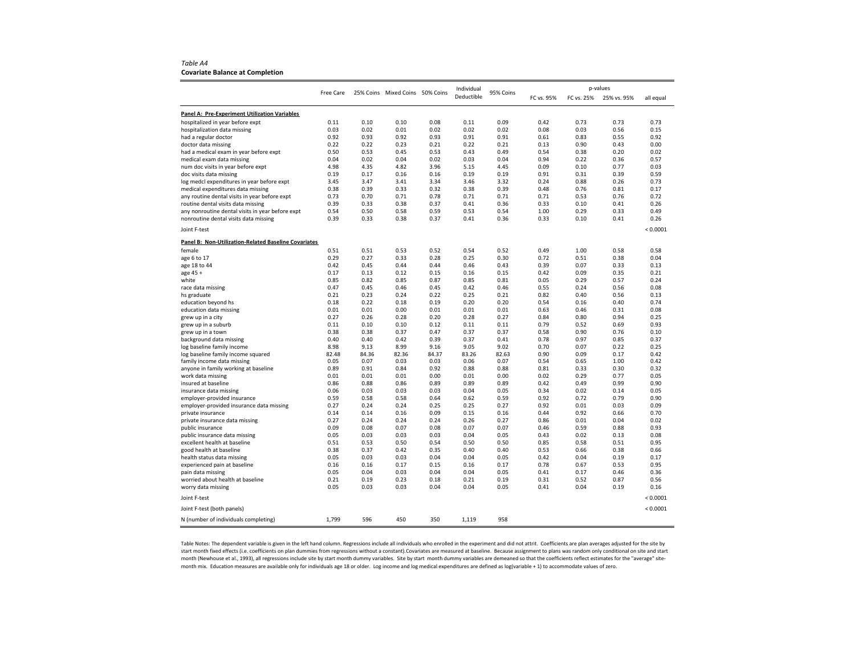*Table A4* **Covariate Balance at Completion**

|                                                                    |           |       |                                 |       | Individual |           | p-values   |            |             |           |
|--------------------------------------------------------------------|-----------|-------|---------------------------------|-------|------------|-----------|------------|------------|-------------|-----------|
|                                                                    | Free Care |       | 25% Coins Mixed Coins 50% Coins |       | Deductible | 95% Coins | FC vs. 95% | FC vs. 25% | 25% vs. 95% | all equal |
| Panel A: Pre-Experiment Utilization Variables                      |           |       |                                 |       |            |           |            |            |             |           |
| hospitalized in year before expt                                   | 0.11      | 0.10  | 0.10                            | 0.08  | 0.11       | 0.09      | 0.42       | 0.73       | 0.73        | 0.73      |
| hospitalization data missing                                       | 0.03      | 0.02  | 0.01                            | 0.02  | 0.02       | 0.02      | 0.08       | 0.03       | 0.56        | 0.15      |
| had a regular doctor                                               | 0.92      | 0.93  | 0.92                            | 0.93  | 0.91       | 0.91      | 0.61       | 0.83       | 0.55        | 0.92      |
| doctor data missing                                                | 0.22      | 0.22  | 0.23                            | 0.21  | 0.22       | 0.21      | 0.13       | 0.90       | 0.43        | 0.00      |
| had a medical exam in year before expt                             | 0.50      | 0.53  | 0.45                            | 0.53  | 0.43       | 0.49      | 0.54       | 0.38       | 0.20        | 0.02      |
| medical exam data missing                                          | 0.04      | 0.02  | 0.04                            | 0.02  | 0.03       | 0.04      | 0.94       | 0.22       | 0.36        | 0.57      |
| num doc visits in year before expt                                 | 4.98      | 4.35  | 4.82                            | 3.96  | 5.15       | 4.45      | 0.09       | 0.10       | 0.77        | 0.03      |
| doc visits data missing                                            | 0.19      | 0.17  | 0.16                            | 0.16  | 0.19       | 0.19      | 0.91       | 0.31       | 0.39        | 0.59      |
| log medcl expenditures in year before expt                         | 3.45      | 3.47  | 3.41                            | 3.34  | 3.46       | 3.32      | 0.24       | 0.88       | 0.26        | 0.73      |
| medical expenditures data missing                                  | 0.38      | 0.39  | 0.33                            | 0.32  | 0.38       | 0.39      | 0.48       | 0.76       | 0.81        | 0.17      |
| any routine dental visits in year before expt                      | 0.73      | 0.70  | 0.71                            | 0.78  | 0.71       | 0.71      | 0.71       | 0.53       | 0.76        | 0.72      |
| routine dental visits data missing                                 | 0.39      | 0.33  | 0.38                            | 0.37  | 0.41       | 0.36      | 0.33       | 0.10       | 0.41        | 0.26      |
| any nonroutine dental visits in year before expt                   | 0.54      | 0.50  | 0.58                            | 0.59  | 0.53       | 0.54      | 1.00       | 0.29       | 0.33        | 0.49      |
| nonroutine dental visits data missing                              | 0.39      | 0.33  | 0.38                            | 0.37  | 0.41       | 0.36      | 0.33       | 0.10       | 0.41        | 0.26      |
| Joint F-test                                                       |           |       |                                 |       |            |           |            |            |             | < 0.0001  |
| Panel B: Non-Utilization-Related Baseline Covariates               |           |       |                                 |       |            |           |            |            |             |           |
| female                                                             | 0.51      | 0.51  | 0.53                            | 0.52  | 0.54       | 0.52      | 0.49       | 1.00       | 0.58        | 0.58      |
| age 6 to 17                                                        | 0.29      | 0.27  | 0.33                            | 0.28  | 0.25       | 0.30      | 0.72       | 0.51       | 0.38        | 0.04      |
| age 18 to 44                                                       | 0.42      | 0.45  | 0.44                            | 0.44  | 0.46       | 0.43      | 0.39       | 0.07       | 0.33        | 0.13      |
| age 45 +                                                           | 0.17      | 0.13  | 0.12                            | 0.15  | 0.16       | 0.15      | 0.42       | 0.09       | 0.35        | 0.21      |
| white                                                              | 0.85      | 0.82  | 0.85                            | 0.87  | 0.85       | 0.81      | 0.05       | 0.29       | 0.57        | 0.24      |
| race data missing                                                  | 0.47      | 0.45  | 0.46                            | 0.45  | 0.42       | 0.46      | 0.55       | 0.24       | 0.56        | 0.08      |
| hs graduate                                                        | 0.21      | 0.23  | 0.24                            | 0.22  | 0.25       | 0.21      | 0.82       | 0.40       | 0.56        | 0.13      |
| education beyond hs                                                | 0.18      | 0.22  | 0.18                            | 0.19  | 0.20       | 0.20      | 0.54       | 0.16       | 0.40        | 0.74      |
| education data missing                                             | 0.01      | 0.01  | 0.00                            | 0.01  | 0.01       | 0.01      | 0.63       | 0.46       | 0.31        | 0.08      |
| grew up in a city                                                  | 0.27      | 0.26  | 0.28                            | 0.20  | 0.28       | 0.27      | 0.84       | 0.80       | 0.94        | 0.25      |
| grew up in a suburb                                                | 0.11      | 0.10  | 0.10                            | 0.12  | 0.11       | 0.11      | 0.79       | 0.52       | 0.69        | 0.93      |
| grew up in a town                                                  | 0.38      | 0.38  | 0.37                            | 0.47  | 0.37       | 0.37      | 0.58       | 0.90       | 0.76        | 0.10      |
| background data missing                                            | 0.40      | 0.40  | 0.42                            | 0.39  | 0.37       | 0.41      | 0.78       | 0.97       | 0.85        | 0.37      |
| log baseline family income                                         | 8.98      | 9.13  | 8.99                            | 9.16  | 9.05       | 9.02      | 0.70       | 0.07       | 0.22        | 0.25      |
| log baseline family income squared                                 | 82.48     | 84.36 | 82.36                           | 84.37 | 83.26      | 82.63     | 0.90       | 0.09       | 0.17        | 0.42      |
| family income data missing                                         | 0.05      | 0.07  | 0.03                            | 0.03  | 0.06       | 0.07      | 0.54       | 0.65       | 1.00        | 0.42      |
| anyone in family working at baseline                               | 0.89      | 0.91  | 0.84                            | 0.92  | 0.88       | 0.88      | 0.81       | 0.33       | 0.30        | 0.32      |
| work data missing                                                  | 0.01      | 0.01  | 0.01                            | 0.00  | 0.01       | 0.00      | 0.02       | 0.29       | 0.77        | 0.05      |
| insured at baseline                                                | 0.86      | 0.88  | 0.86                            | 0.89  | 0.89       | 0.89      | 0.42       | 0.49       | 0.99        | 0.90      |
| insurance data missing                                             | 0.06      | 0.03  | 0.03                            | 0.03  | 0.04       | 0.05      | 0.34       | 0.02       | 0.14        | 0.05      |
| employer-provided insurance                                        | 0.59      | 0.58  | 0.58                            | 0.64  | 0.62       | 0.59      | 0.92       | 0.72       | 0.79        | 0.90      |
| employer-provided insurance data missing                           | 0.27      | 0.24  | 0.24                            | 0.25  | 0.25       | 0.27      | 0.92       | 0.01       | 0.03        | 0.09      |
| private insurance                                                  | 0.14      | 0.14  | 0.16                            | 0.09  | 0.15       | 0.16      | 0.44       | 0.92       | 0.66        | 0.70      |
| private insurance data missing                                     | 0.27      | 0.24  | 0.24                            | 0.24  | 0.26       | 0.27      | 0.86       | 0.01       | 0.04        | 0.02      |
| public insurance                                                   | 0.09      | 0.08  | 0.07                            | 0.08  | 0.07       | 0.07      | 0.46       | 0.59       | 0.88        | 0.93      |
| public insurance data missing                                      | 0.05      | 0.03  | 0.03                            | 0.03  | 0.04       | 0.05      | 0.43       | 0.02       | 0.13        | 0.08      |
| excellent health at baseline                                       | 0.51      | 0.53  | 0.50                            | 0.54  | 0.50       | 0.50      | 0.85       | 0.58       | 0.51        | 0.95      |
| good health at baseline                                            | 0.38      | 0.37  | 0.42                            | 0.35  | 0.40       | 0.40      | 0.53       | 0.66       | 0.38        | 0.66      |
| health status data missing                                         | 0.05      | 0.03  | 0.03                            | 0.04  | 0.04       | 0.05      | 0.42       | 0.04       | 0.19        | 0.17      |
| experienced pain at baseline                                       | 0.16      | 0.16  | 0.17                            | 0.15  | 0.16       | 0.17      | 0.78       | 0.67       | 0.53        | 0.95      |
| pain data missing                                                  | 0.05      | 0.04  | 0.03                            | 0.04  | 0.04       | 0.05      | 0.41       | 0.17       | 0.46        | 0.36      |
| worried about health at baseline                                   | 0.21      | 0.19  | 0.23                            | 0.18  | 0.21       | 0.19      | 0.31       | 0.52       | 0.87        | 0.56      |
| worry data missing                                                 | 0.05      | 0.03  | 0.03                            | 0.04  | 0.04       | 0.05      | 0.41       | 0.04       | 0.19        | 0.16      |
| Joint F-test                                                       |           |       |                                 |       |            |           |            |            |             | < 0.0001  |
| Joint F-test (both panels)<br>N (number of individuals completing) | 1,799     | 596   | 450                             | 350   | 1,119      | 958       |            |            |             | < 0.0001  |
|                                                                    |           |       |                                 |       |            |           |            |            |             |           |

Table Notes: The dependent variable is given in the left hand column. Regressions include all individuals who enrolled in the experiment and did not attrit. Coefficients are plan averages adjusted for the site by start month fixed effects (i.e. coefficients on plan dummies from regressions without <sup>a</sup> constant).Covariates are measured at baseline. Because assignment to plans was random only conditional on site and start month (Newhouse et al., 1993), all regressions include site by start month dummy variables. Site by start month dummy variables are demeaned so that the coefficients reflect estimates for the "average" site‐ month mix. Education measures are available only for individuals age 18 or older. Log income and log medical expenditures are defined as log(variable <sup>+</sup> 1) to accommodate values of zero.